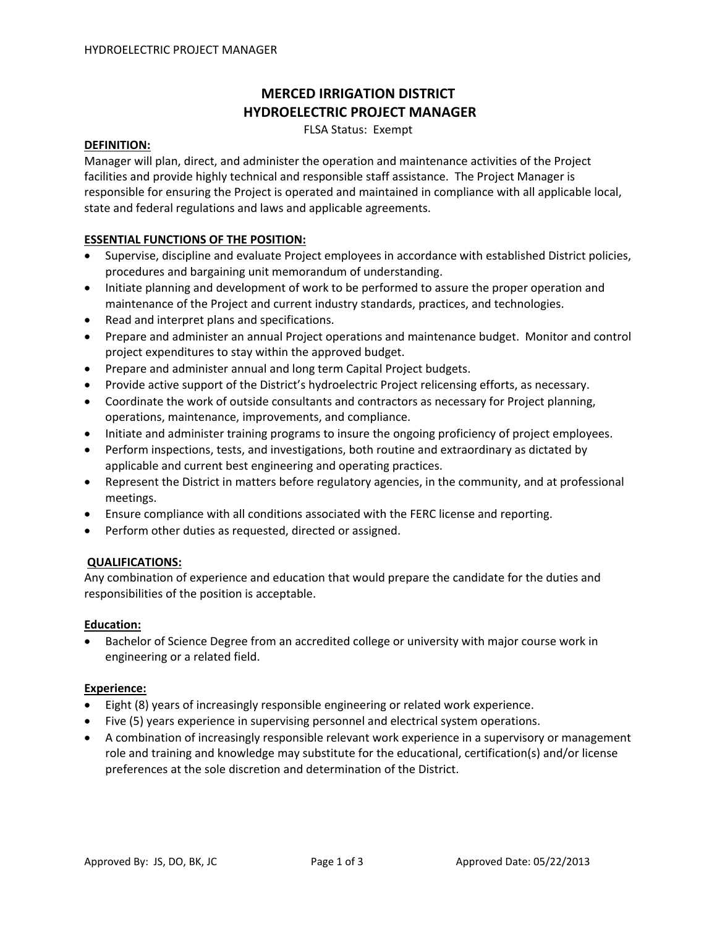# **MERCED IRRIGATION DISTRICT HYDROELECTRIC PROJECT MANAGER**

FLSA Status: Exempt

#### **DEFINITION:**

Manager will plan, direct, and administer the operation and maintenance activities of the Project facilities and provide highly technical and responsible staff assistance. The Project Manager is responsible for ensuring the Project is operated and maintained in compliance with all applicable local, state and federal regulations and laws and applicable agreements.

### **ESSENTIAL FUNCTIONS OF THE POSITION:**

- Supervise, discipline and evaluate Project employees in accordance with established District policies, procedures and bargaining unit memorandum of understanding.
- Initiate planning and development of work to be performed to assure the proper operation and maintenance of the Project and current industry standards, practices, and technologies.
- Read and interpret plans and specifications.
- Prepare and administer an annual Project operations and maintenance budget. Monitor and control project expenditures to stay within the approved budget.
- Prepare and administer annual and long term Capital Project budgets.
- Provide active support of the District's hydroelectric Project relicensing efforts, as necessary.
- Coordinate the work of outside consultants and contractors as necessary for Project planning, operations, maintenance, improvements, and compliance.
- Initiate and administer training programs to insure the ongoing proficiency of project employees.
- Perform inspections, tests, and investigations, both routine and extraordinary as dictated by applicable and current best engineering and operating practices.
- Represent the District in matters before regulatory agencies, in the community, and at professional meetings.
- Ensure compliance with all conditions associated with the FERC license and reporting.
- Perform other duties as requested, directed or assigned.

# **QUALIFICATIONS:**

Any combination of experience and education that would prepare the candidate for the duties and responsibilities of the position is acceptable.

#### **Education:**

• Bachelor of Science Degree from an accredited college or university with major course work in engineering or a related field.

# **Experience:**

- Eight (8) years of increasingly responsible engineering or related work experience.
- Five (5) years experience in supervising personnel and electrical system operations.
- A combination of increasingly responsible relevant work experience in a supervisory or management role and training and knowledge may substitute for the educational, certification(s) and/or license preferences at the sole discretion and determination of the District.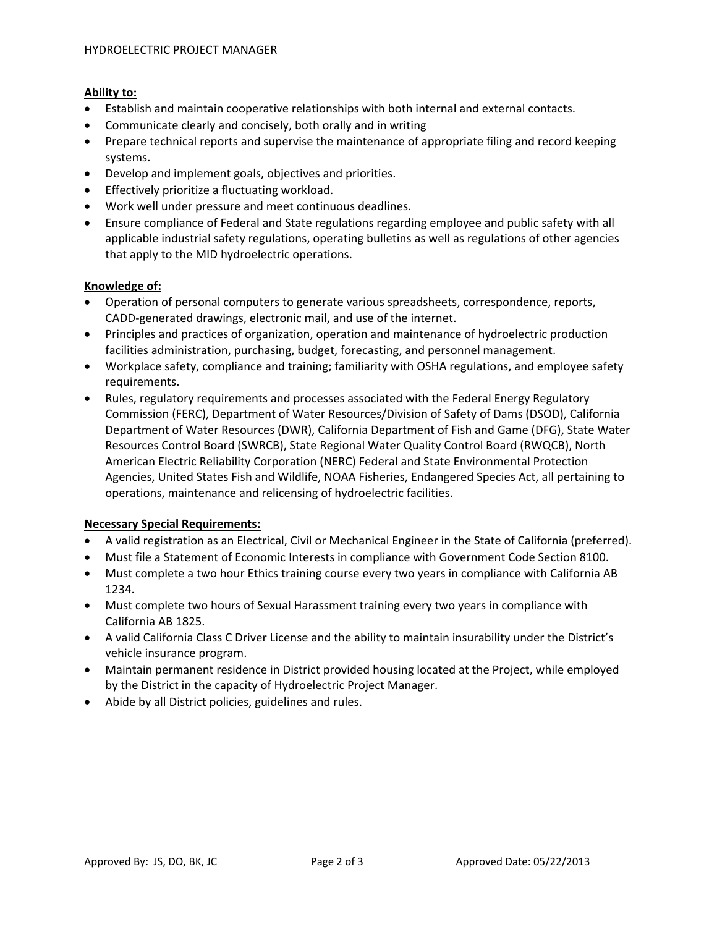# **Ability to:**

- Establish and maintain cooperative relationships with both internal and external contacts.
- Communicate clearly and concisely, both orally and in writing
- Prepare technical reports and supervise the maintenance of appropriate filing and record keeping systems.
- Develop and implement goals, objectives and priorities.
- Effectively prioritize a fluctuating workload.
- Work well under pressure and meet continuous deadlines.
- Ensure compliance of Federal and State regulations regarding employee and public safety with all applicable industrial safety regulations, operating bulletins as well as regulations of other agencies that apply to the MID hydroelectric operations.

# **Knowledge of:**

- Operation of personal computers to generate various spreadsheets, correspondence, reports, CADD‐generated drawings, electronic mail, and use of the internet.
- Principles and practices of organization, operation and maintenance of hydroelectric production facilities administration, purchasing, budget, forecasting, and personnel management.
- Workplace safety, compliance and training; familiarity with OSHA regulations, and employee safety requirements.
- Rules, regulatory requirements and processes associated with the Federal Energy Regulatory Commission (FERC), Department of Water Resources/Division of Safety of Dams (DSOD), California Department of Water Resources (DWR), California Department of Fish and Game (DFG), State Water Resources Control Board (SWRCB), State Regional Water Quality Control Board (RWQCB), North American Electric Reliability Corporation (NERC) Federal and State Environmental Protection Agencies, United States Fish and Wildlife, NOAA Fisheries, Endangered Species Act, all pertaining to operations, maintenance and relicensing of hydroelectric facilities.

# **Necessary Special Requirements:**

- A valid registration as an Electrical, Civil or Mechanical Engineer in the State of California (preferred).
- Must file a Statement of Economic Interests in compliance with Government Code Section 8100.
- Must complete a two hour Ethics training course every two years in compliance with California AB 1234.
- Must complete two hours of Sexual Harassment training every two years in compliance with California AB 1825.
- A valid California Class C Driver License and the ability to maintain insurability under the District's vehicle insurance program.
- Maintain permanent residence in District provided housing located at the Project, while employed by the District in the capacity of Hydroelectric Project Manager.
- Abide by all District policies, guidelines and rules.